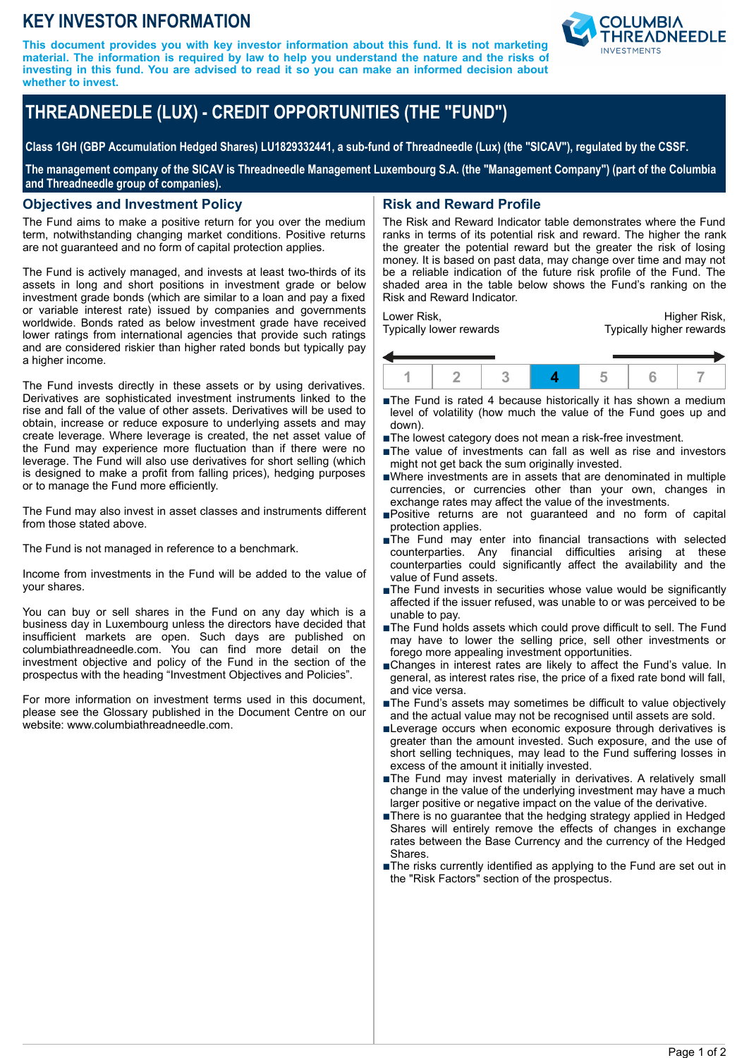## **KEY INVESTOR INFORMATION**

**This document provides you with key investor information about this fund. It is not marketing material. The information is required by law to help you understand the nature and the risks of investing in this fund. You are advised to read it so you can make an informed decision about whether to invest.**



# **THREADNEEDLE (LUX) - CREDIT OPPORTUNITIES (THE "FUND")**

**Class 1GH (GBP Accumulation Hedged Shares) LU1829332441, a sub-fund of Threadneedle (Lux) (the "SICAV"), regulated by the CSSF.**

**The management company of the SICAV is Threadneedle Management Luxembourg S.A. (the "Management Company") (part of the Columbia and Threadneedle group of companies).**

#### **Objectives and Investment Policy**

The Fund aims to make a positive return for you over the medium term, notwithstanding changing market conditions. Positive returns are not guaranteed and no form of capital protection applies.

The Fund is actively managed, and invests at least two-thirds of its assets in long and short positions in investment grade or below investment grade bonds (which are similar to a loan and pay a fixed or variable interest rate) issued by companies and governments worldwide. Bonds rated as below investment grade have received lower ratings from international agencies that provide such ratings and are considered riskier than higher rated bonds but typically pay a higher income.

The Fund invests directly in these assets or by using derivatives. Derivatives are sophisticated investment instruments linked to the rise and fall of the value of other assets. Derivatives will be used to obtain, increase or reduce exposure to underlying assets and may create leverage. Where leverage is created, the net asset value of the Fund may experience more fluctuation than if there were no leverage. The Fund will also use derivatives for short selling (which is designed to make a profit from falling prices), hedging purposes or to manage the Fund more efficiently.

The Fund may also invest in asset classes and instruments different from those stated above.

The Fund is not managed in reference to a benchmark.

Income from investments in the Fund will be added to the value of your shares.

You can buy or sell shares in the Fund on any day which is a business day in Luxembourg unless the directors have decided that insufficient markets are open. Such days are published on columbiathreadneedle.com. You can find more detail on the investment objective and policy of the Fund in the section of the prospectus with the heading "Investment Objectives and Policies".

For more information on investment terms used in this document, please see the Glossary published in the Document Centre on our website: www.columbiathreadneedle.com.

#### **Risk and Reward Profile**

The Risk and Reward Indicator table demonstrates where the Fund ranks in terms of its potential risk and reward. The higher the rank the greater the potential reward but the greater the risk of losing money. It is based on past data, may change over time and may not be a reliable indication of the future risk profile of the Fund. The shaded area in the table below shows the Fund's ranking on the Risk and Reward Indicator.

Lower Risk, Typically lower rewards

Higher Risk, Typically higher rewards



- ■The Fund is rated 4 because historically it has shown a medium level of volatility (how much the value of the Fund goes up and down).
- The lowest category does not mean a risk-free investment.
- ■The value of investments can fall as well as rise and investors might not get back the sum originally invested.
- nWhere investments are in assets that are denominated in multiple currencies, or currencies other than your own, changes in exchange rates may affect the value of the investments.
- nPositive returns are not guaranteed and no form of capital protection applies.
- nThe Fund may enter into financial transactions with selected counterparties. Any financial difficulties arising at these counterparties could significantly affect the availability and the value of Fund assets.
- The Fund invests in securities whose value would be significantly affected if the issuer refused, was unable to or was perceived to be unable to pay.
- The Fund holds assets which could prove difficult to sell. The Fund may have to lower the selling price, sell other investments or forego more appealing investment opportunities.
- nChanges in interest rates are likely to affect the Fund's value. In general, as interest rates rise, the price of a fixed rate bond will fall, and vice versa.
- The Fund's assets may sometimes be difficult to value objectively and the actual value may not be recognised until assets are sold.
- ■Leverage occurs when economic exposure through derivatives is greater than the amount invested. Such exposure, and the use of short selling techniques, may lead to the Fund suffering losses in excess of the amount it initially invested.
- ■The Fund may invest materially in derivatives. A relatively small change in the value of the underlying investment may have a much larger positive or negative impact on the value of the derivative.
- nThere is no guarantee that the hedging strategy applied in Hedged Shares will entirely remove the effects of changes in exchange rates between the Base Currency and the currency of the Hedged Shares.
- ■The risks currently identified as applying to the Fund are set out in the "Risk Factors" section of the prospectus.